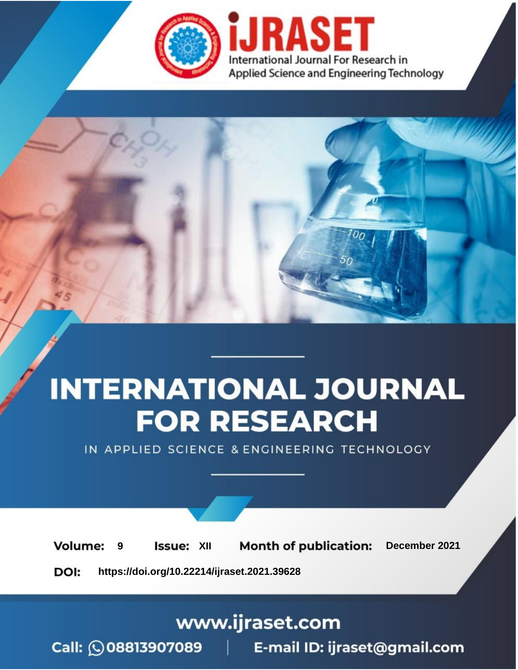

# **INTERNATIONAL JOURNAL FOR RESEARCH**

IN APPLIED SCIENCE & ENGINEERING TECHNOLOGY

**Month of publication: Volume: Issue: XII** December 2021 9 DOI: https://doi.org/10.22214/ijraset.2021.39628

www.ijraset.com

Call: 008813907089 | E-mail ID: ijraset@gmail.com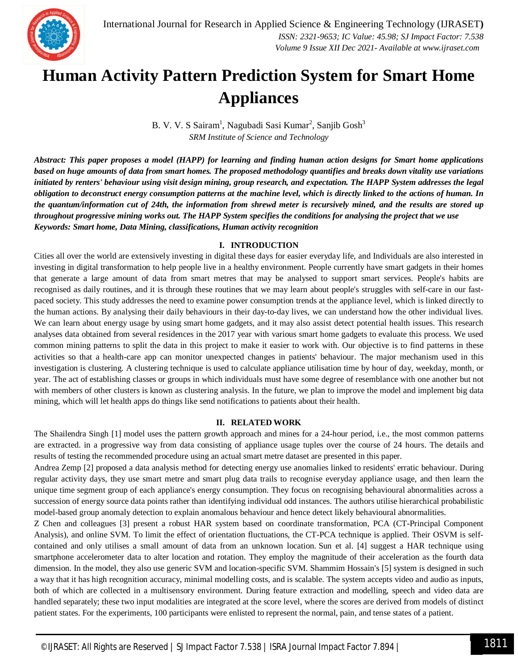

### **Human Activity Pattern Prediction System for Smart Home Appliances**

B. V. V. S Sairam<sup>1</sup>, Nagubadi Sasi Kumar<sup>2</sup>, Sanjib Gosh<sup>3</sup> *SRM Institute of Science and Technology*

*Abstract: This paper proposes a model (HAPP) for learning and finding human action designs for Smart home applications based on huge amounts of data from smart homes. The proposed methodology quantifies and breaks down vitality use variations initiated by renters' behaviour using visit design mining, group research, and expectation. The HAPP System addresses the legal obligation to deconstruct energy consumption patterns at the machine level, which is directly linked to the actions of human. In the quantum/information cut of 24th, the information from shrewd meter is recursively mined, and the results are stored up throughout progressive mining works out. The HAPP System specifies the conditions for analysing the project that we use Keywords: Smart home, Data Mining, classifications, Human activity recognition*

#### **I. INTRODUCTION**

Cities all over the world are extensively investing in digital these days for easier everyday life, and Individuals are also interested in investing in digital transformation to help people live in a healthy environment. People currently have smart gadgets in their homes that generate a large amount of data from smart metres that may be analysed to support smart services. People's habits are recognised as daily routines, and it is through these routines that we may learn about people's struggles with self-care in our fastpaced society. This study addresses the need to examine power consumption trends at the appliance level, which is linked directly to the human actions. By analysing their daily behaviours in their day-to-day lives, we can understand how the other individual lives. We can learn about energy usage by using smart home gadgets, and it may also assist detect potential health issues. This research analyses data obtained from several residences in the 2017 year with various smart home gadgets to evaluate this process. We used common mining patterns to split the data in this project to make it easier to work with. Our objective is to find patterns in these activities so that a health-care app can monitor unexpected changes in patients' behaviour. The major mechanism used in this investigation is clustering. A clustering technique is used to calculate appliance utilisation time by hour of day, weekday, month, or year. The act of establishing classes or groups in which individuals must have some degree of resemblance with one another but not with members of other clusters is known as clustering analysis. In the future, we plan to improve the model and implement big data mining, which will let health apps do things like send notifications to patients about their health.

#### **II. RELATED WORK**

The Shailendra Singh [1] model uses the pattern growth approach and mines for a 24-hour period, i.e., the most common patterns are extracted. in a progressive way from data consisting of appliance usage tuples over the course of 24 hours. The details and results of testing the recommended procedure using an actual smart metre dataset are presented in this paper.

Andrea Zemp [2] proposed a data analysis method for detecting energy use anomalies linked to residents' erratic behaviour. During regular activity days, they use smart metre and smart plug data trails to recognise everyday appliance usage, and then learn the unique time segment group of each appliance's energy consumption. They focus on recognising behavioural abnormalities across a succession of energy source data points rather than identifying individual odd instances. The authors utilise hierarchical probabilistic model-based group anomaly detection to explain anomalous behaviour and hence detect likely behavioural abnormalities.

Z Chen and colleagues [3] present a robust HAR system based on coordinate transformation, PCA (CT-Principal Component Analysis), and online SVM. To limit the effect of orientation fluctuations, the CT-PCA technique is applied. Their OSVM is selfcontained and only utilises a small amount of data from an unknown location. Sun et al. [4] suggest a HAR technique using smartphone accelerometer data to alter location and rotation. They employ the magnitude of their acceleration as the fourth data dimension. In the model, they also use generic SVM and location-specific SVM. Shammim Hossain's [5] system is designed in such a way that it has high recognition accuracy, minimal modelling costs, and is scalable. The system accepts video and audio as inputs, both of which are collected in a multisensory environment. During feature extraction and modelling, speech and video data are handled separately; these two input modalities are integrated at the score level, where the scores are derived from models of distinct patient states. For the experiments, 100 participants were enlisted to represent the normal, pain, and tense states of a patient.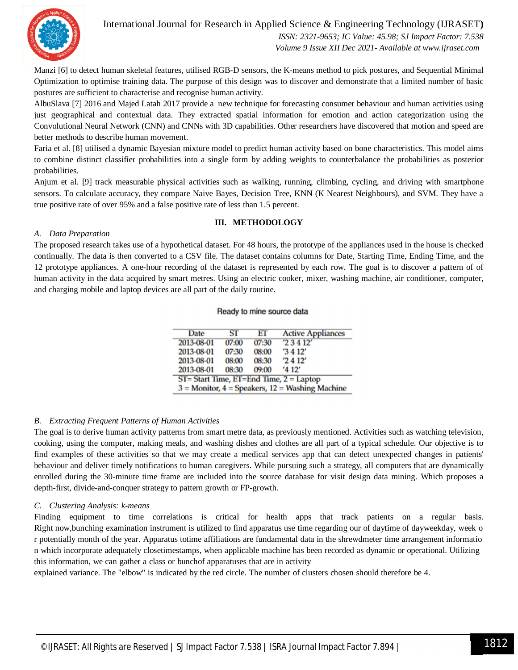

International Journal for Research in Applied Science & Engineering Technology (IJRASET**)**

 *ISSN: 2321-9653; IC Value: 45.98; SJ Impact Factor: 7.538 Volume 9 Issue XII Dec 2021- Available at www.ijraset.com*

Manzi [6] to detect human skeletal features, utilised RGB-D sensors, the K-means method to pick postures, and Sequential Minimal Optimization to optimise training data. The purpose of this design was to discover and demonstrate that a limited number of basic postures are sufficient to characterise and recognise human activity.

AlbuSlava [7] 2016 and Majed Latah 2017 provide a new technique for forecasting consumer behaviour and human activities using just geographical and contextual data. They extracted spatial information for emotion and action categorization using the Convolutional Neural Network (CNN) and CNNs with 3D capabilities. Other researchers have discovered that motion and speed are better methods to describe human movement.

Faria et al. [8] utilised a dynamic Bayesian mixture model to predict human activity based on bone characteristics. This model aims to combine distinct classifier probabilities into a single form by adding weights to counterbalance the probabilities as posterior probabilities.

Anjum et al. [9] track measurable physical activities such as walking, running, climbing, cycling, and driving with smartphone sensors. To calculate accuracy, they compare Naive Bayes, Decision Tree, KNN (K Nearest Neighbours), and SVM. They have a true positive rate of over 95% and a false positive rate of less than 1.5 percent.

#### **III. METHODOLOGY**

#### *A. Data Preparation*

The proposed research takes use of a hypothetical dataset. For 48 hours, the prototype of the appliances used in the house is checked continually. The data is then converted to a CSV file. The dataset contains columns for Date, Starting Time, Ending Time, and the 12 prototype appliances. A one-hour recording of the dataset is represented by each row. The goal is to discover a pattern of of human activity in the data acquired by smart metres. Using an electric cooker, mixer, washing machine, air conditioner, computer, and charging mobile and laptop devices are all part of the daily routine.

#### Ready to mine source data

| Date       | ST    | ЕT    | <b>Active Appliances</b>                          |
|------------|-------|-------|---------------------------------------------------|
| 2013-08-01 | 07:00 | 07:30 | '23412'                                           |
| 2013-08-01 | 07:30 | 08:00 | '3 4 12'                                          |
| 2013-08-01 | 08:00 | 08:30 | '2412'                                            |
| 2013-08-01 | 08:30 | 09:00 | '412'                                             |
|            |       |       | $ST = Start Time, ET = End Time, 2 = Laptop$      |
|            |       |       | $3$ = Monitor, 4 = Speakers, 12 = Washing Machine |

#### **B.** *Extracting Frequent Patterns of Human Activities*

The goal is to derive human activity patterns from smart metre data, as previously mentioned. Activities such as watching television, cooking, using the computer, making meals, and washing dishes and clothes are all part of a typical schedule. Our objective is to find examples of these activities so that we may create a medical services app that can detect unexpected changes in patients' behaviour and deliver timely notifications to human caregivers. While pursuing such a strategy, all computers that are dynamically enrolled during the 30-minute time frame are included into the source database for visit design data mining. Which proposes a depth-first, divide-and-conquer strategy to pattern growth or FP-growth.

#### *C. Clustering Analysis: k-means*

Finding equipment to time correlations is critical for health apps that track patients on a regular basis. Right now,bunching examination instrument is utilized to find apparatus use time regarding our of daytime of dayweekday, week o r potentially month of the year. Apparatus totime affiliations are fundamental data in the shrewdmeter time arrangement informatio n which incorporate adequately closetimestamps, when applicable machine has been recorded as dynamic or operational. Utilizing this information, we can gather a class or bunchof apparatuses that are in activity

explained variance. The "elbow" is indicated by the red circle. The number of clusters chosen should therefore be 4.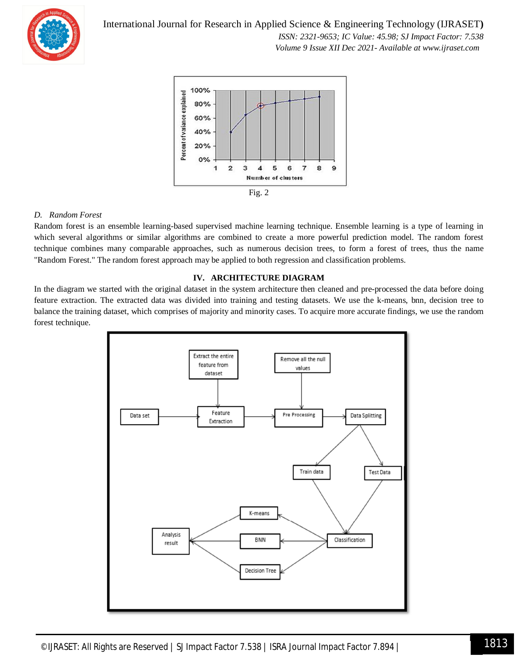

International Journal for Research in Applied Science & Engineering Technology (IJRASET**)**  *ISSN: 2321-9653; IC Value: 45.98; SJ Impact Factor: 7.538 Volume 9 Issue XII Dec 2021- Available at www.ijraset.com*



#### *D. Random Forest*

Random forest is an ensemble learning-based supervised machine learning technique. Ensemble learning is a type of learning in which several algorithms or similar algorithms are combined to create a more powerful prediction model. The random forest technique combines many comparable approaches, such as numerous decision trees, to form a forest of trees, thus the name "Random Forest." The random forest approach may be applied to both regression and classification problems.

#### **IV. ARCHITECTURE DIAGRAM**

In the diagram we started with the original dataset in the system architecture then cleaned and pre-processed the data before doing feature extraction. The extracted data was divided into training and testing datasets. We use the k-means, bnn, decision tree to balance the training dataset, which comprises of majority and minority cases. To acquire more accurate findings, we use the random forest technique.

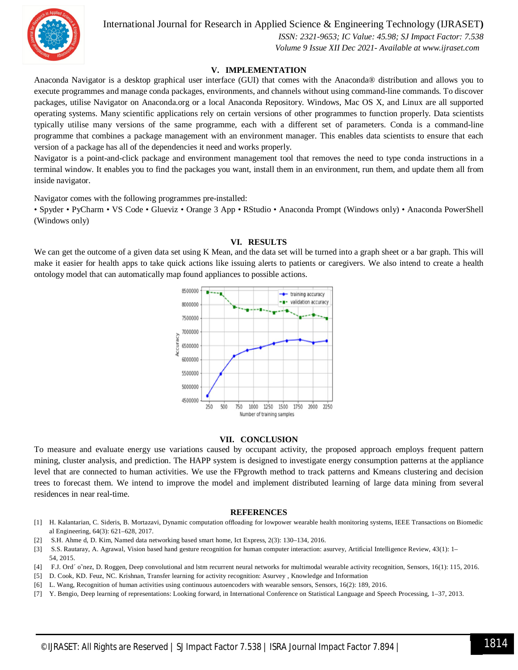

International Journal for Research in Applied Science & Engineering Technology (IJRASET**)**

 *ISSN: 2321-9653; IC Value: 45.98; SJ Impact Factor: 7.538 Volume 9 Issue XII Dec 2021- Available at www.ijraset.com*

#### **V. IMPLEMENTATION**

Anaconda Navigator is a desktop graphical user interface (GUI) that comes with the Anaconda® distribution and allows you to execute programmes and manage conda packages, environments, and channels without using command-line commands. To discover packages, utilise Navigator on Anaconda.org or a local Anaconda Repository. Windows, Mac OS X, and Linux are all supported operating systems. Many scientific applications rely on certain versions of other programmes to function properly. Data scientists typically utilise many versions of the same programme, each with a different set of parameters. Conda is a command-line programme that combines a package management with an environment manager. This enables data scientists to ensure that each version of a package has all of the dependencies it need and works properly.

Navigator is a point-and-click package and environment management tool that removes the need to type conda instructions in a terminal window. It enables you to find the packages you want, install them in an environment, run them, and update them all from inside navigator.

Navigator comes with the following programmes pre-installed:

• Spyder • PyCharm • VS Code • Glueviz • Orange 3 App • RStudio • Anaconda Prompt (Windows only) • Anaconda PowerShell (Windows only)

#### **VI. RESULTS**

We can get the outcome of a given data set using K Mean, and the data set will be turned into a graph sheet or a bar graph. This will make it easier for health apps to take quick actions like issuing alerts to patients or caregivers. We also intend to create a health ontology model that can automatically map found appliances to possible actions.



#### **VII. CONCLUSION**

To measure and evaluate energy use variations caused by occupant activity, the proposed approach employs frequent pattern mining, cluster analysis, and prediction. The HAPP system is designed to investigate energy consumption patterns at the appliance level that are connected to human activities. We use the FPgrowth method to track patterns and Kmeans clustering and decision trees to forecast them. We intend to improve the model and implement distributed learning of large data mining from several residences in near real-time.

#### **REFERENCES**

- [1] H. Kalantarian, C. Sideris, B. Mortazavi, Dynamic computation offloading for lowpower wearable health monitoring systems, IEEE Transactions on Biomedic al Engineering, 64(3): 621-628, 2017.
- [2] S.H. Ahmed, D. Kim, Named data networking based smart home, Ict Express, 2(3): 130–134, 2016.
- [3] S.S. Rautaray, A. Agrawal, Vision based hand gesture recognition for human computer interaction: asurvey, Artificial Intelligence Review, 43(1): 1-54, 2015.
- [4] F.J. Ord´o~nez, D. Roggen, Deep convolutional and lstm recurrent neural networks for multimodal wearable activity recognition, Sensors, 16(1): 115, 2016.
- [5] D. Cook, KD. Feuz, NC. Krishnan, Transfer learning for activity recognition: Asurvey, Knowledge and Information
- [6] L. Wang, Recognition of human activities using continuous autoencoders with wearable sensors, Sensors, 16(2): 189, 2016.
- [7] Y. Bengio, Deep learning of representations: Looking forward, in International Conference on Statistical Language and Speech Processing, 1-37, 2013.